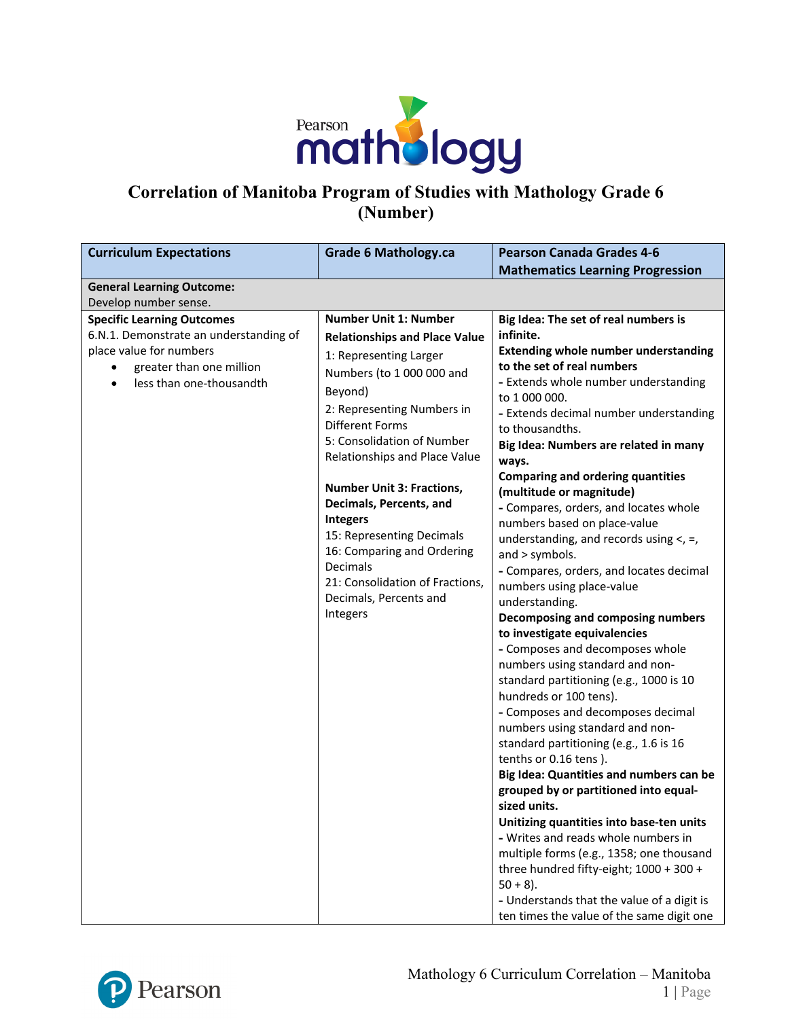

# **Correlation of Manitoba Program of Studies with Mathology Grade 6 (Number)**

| <b>Curriculum Expectations</b>                                    | <b>Grade 6 Mathology.ca</b>            | <b>Pearson Canada Grades 4-6</b>                                          |
|-------------------------------------------------------------------|----------------------------------------|---------------------------------------------------------------------------|
|                                                                   |                                        | <b>Mathematics Learning Progression</b>                                   |
| <b>General Learning Outcome:</b>                                  |                                        |                                                                           |
| Develop number sense.                                             |                                        |                                                                           |
| <b>Specific Learning Outcomes</b>                                 | <b>Number Unit 1: Number</b>           | Big Idea: The set of real numbers is                                      |
| 6.N.1. Demonstrate an understanding of<br>place value for numbers | <b>Relationships and Place Value</b>   | infinite.                                                                 |
|                                                                   | 1: Representing Larger                 | <b>Extending whole number understanding</b><br>to the set of real numbers |
| greater than one million<br>less than one-thousandth              | Numbers (to 1 000 000 and              | - Extends whole number understanding                                      |
| $\bullet$                                                         | Beyond)                                | to 1 000 000.                                                             |
|                                                                   | 2: Representing Numbers in             | - Extends decimal number understanding                                    |
|                                                                   | <b>Different Forms</b>                 | to thousandths.                                                           |
|                                                                   | 5: Consolidation of Number             | Big Idea: Numbers are related in many                                     |
|                                                                   | Relationships and Place Value          | ways.                                                                     |
|                                                                   |                                        | <b>Comparing and ordering quantities</b>                                  |
|                                                                   | <b>Number Unit 3: Fractions,</b>       | (multitude or magnitude)                                                  |
|                                                                   | Decimals, Percents, and                | - Compares, orders, and locates whole                                     |
|                                                                   | Integers                               | numbers based on place-value                                              |
|                                                                   | 15: Representing Decimals              | understanding, and records using $\lt$ , =,                               |
|                                                                   | 16: Comparing and Ordering<br>Decimals | and > symbols.                                                            |
|                                                                   | 21: Consolidation of Fractions,        | - Compares, orders, and locates decimal                                   |
|                                                                   | Decimals, Percents and                 | numbers using place-value                                                 |
|                                                                   | Integers                               | understanding.                                                            |
|                                                                   |                                        | Decomposing and composing numbers                                         |
|                                                                   |                                        | to investigate equivalencies<br>- Composes and decomposes whole           |
|                                                                   |                                        | numbers using standard and non-                                           |
|                                                                   |                                        | standard partitioning (e.g., 1000 is 10                                   |
|                                                                   |                                        | hundreds or 100 tens).                                                    |
|                                                                   |                                        | - Composes and decomposes decimal                                         |
|                                                                   |                                        | numbers using standard and non-                                           |
|                                                                   |                                        | standard partitioning (e.g., 1.6 is 16                                    |
|                                                                   |                                        | tenths or 0.16 tens).                                                     |
|                                                                   |                                        | Big Idea: Quantities and numbers can be                                   |
|                                                                   |                                        | grouped by or partitioned into equal-                                     |
|                                                                   |                                        | sized units.                                                              |
|                                                                   |                                        | Unitizing quantities into base-ten units                                  |
|                                                                   |                                        | - Writes and reads whole numbers in                                       |
|                                                                   |                                        | multiple forms (e.g., 1358; one thousand                                  |
|                                                                   |                                        | three hundred fifty-eight; 1000 + 300 +                                   |
|                                                                   |                                        | $50 + 8$ ).                                                               |
|                                                                   |                                        | - Understands that the value of a digit is                                |
|                                                                   |                                        | ten times the value of the same digit one                                 |

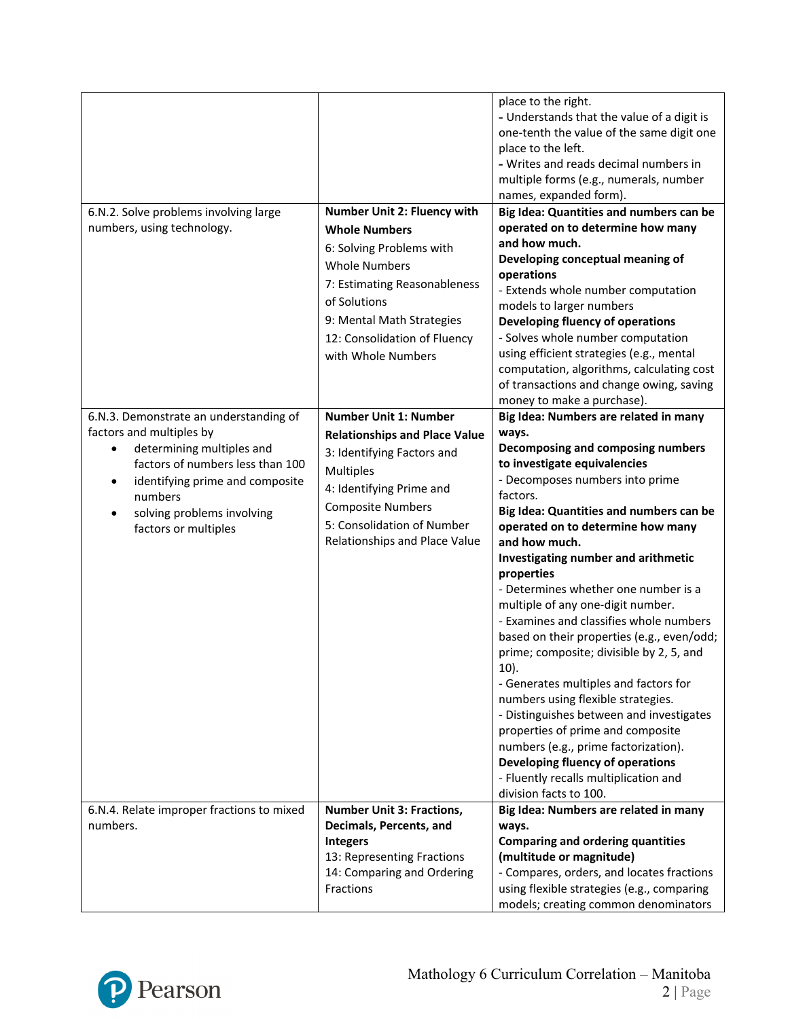|                                                                                                                                                                                                            |                                                                                                                                                                                                               | place to the right.<br>- Understands that the value of a digit is<br>one-tenth the value of the same digit one<br>place to the left.<br>- Writes and reads decimal numbers in<br>multiple forms (e.g., numerals, number<br>names, expanded form).                                                                                                                                                                                                                                                                                                                                                                                                                                                                                                                                                 |
|------------------------------------------------------------------------------------------------------------------------------------------------------------------------------------------------------------|---------------------------------------------------------------------------------------------------------------------------------------------------------------------------------------------------------------|---------------------------------------------------------------------------------------------------------------------------------------------------------------------------------------------------------------------------------------------------------------------------------------------------------------------------------------------------------------------------------------------------------------------------------------------------------------------------------------------------------------------------------------------------------------------------------------------------------------------------------------------------------------------------------------------------------------------------------------------------------------------------------------------------|
| 6.N.2. Solve problems involving large                                                                                                                                                                      | Number Unit 2: Fluency with                                                                                                                                                                                   | Big Idea: Quantities and numbers can be                                                                                                                                                                                                                                                                                                                                                                                                                                                                                                                                                                                                                                                                                                                                                           |
| numbers, using technology.                                                                                                                                                                                 | <b>Whole Numbers</b><br>6: Solving Problems with<br><b>Whole Numbers</b><br>7: Estimating Reasonableness<br>of Solutions<br>9: Mental Math Strategies<br>12: Consolidation of Fluency<br>with Whole Numbers   | operated on to determine how many<br>and how much.<br>Developing conceptual meaning of<br>operations<br>- Extends whole number computation<br>models to larger numbers<br>Developing fluency of operations<br>- Solves whole number computation<br>using efficient strategies (e.g., mental<br>computation, algorithms, calculating cost                                                                                                                                                                                                                                                                                                                                                                                                                                                          |
|                                                                                                                                                                                                            |                                                                                                                                                                                                               | of transactions and change owing, saving<br>money to make a purchase).                                                                                                                                                                                                                                                                                                                                                                                                                                                                                                                                                                                                                                                                                                                            |
| 6.N.3. Demonstrate an understanding of                                                                                                                                                                     | <b>Number Unit 1: Number</b>                                                                                                                                                                                  | Big Idea: Numbers are related in many                                                                                                                                                                                                                                                                                                                                                                                                                                                                                                                                                                                                                                                                                                                                                             |
| factors and multiples by<br>determining multiples and<br>factors of numbers less than 100<br>identifying prime and composite<br>$\bullet$<br>numbers<br>solving problems involving<br>factors or multiples | <b>Relationships and Place Value</b><br>3: Identifying Factors and<br><b>Multiples</b><br>4: Identifying Prime and<br><b>Composite Numbers</b><br>5: Consolidation of Number<br>Relationships and Place Value | ways.<br>Decomposing and composing numbers<br>to investigate equivalencies<br>- Decomposes numbers into prime<br>factors.<br>Big Idea: Quantities and numbers can be<br>operated on to determine how many<br>and how much.<br>Investigating number and arithmetic<br>properties<br>- Determines whether one number is a<br>multiple of any one-digit number.<br>- Examines and classifies whole numbers<br>based on their properties (e.g., even/odd;<br>prime; composite; divisible by 2, 5, and<br>$10$ ).<br>- Generates multiples and factors for<br>numbers using flexible strategies.<br>- Distinguishes between and investigates<br>properties of prime and composite<br>numbers (e.g., prime factorization).<br>Developing fluency of operations<br>- Fluently recalls multiplication and |
| 6.N.4. Relate improper fractions to mixed                                                                                                                                                                  | <b>Number Unit 3: Fractions,</b>                                                                                                                                                                              | division facts to 100.<br>Big Idea: Numbers are related in many                                                                                                                                                                                                                                                                                                                                                                                                                                                                                                                                                                                                                                                                                                                                   |
| numbers.                                                                                                                                                                                                   | Decimals, Percents, and<br><b>Integers</b><br>13: Representing Fractions<br>14: Comparing and Ordering<br>Fractions                                                                                           | ways.<br><b>Comparing and ordering quantities</b><br>(multitude or magnitude)<br>- Compares, orders, and locates fractions<br>using flexible strategies (e.g., comparing<br>models; creating common denominators                                                                                                                                                                                                                                                                                                                                                                                                                                                                                                                                                                                  |

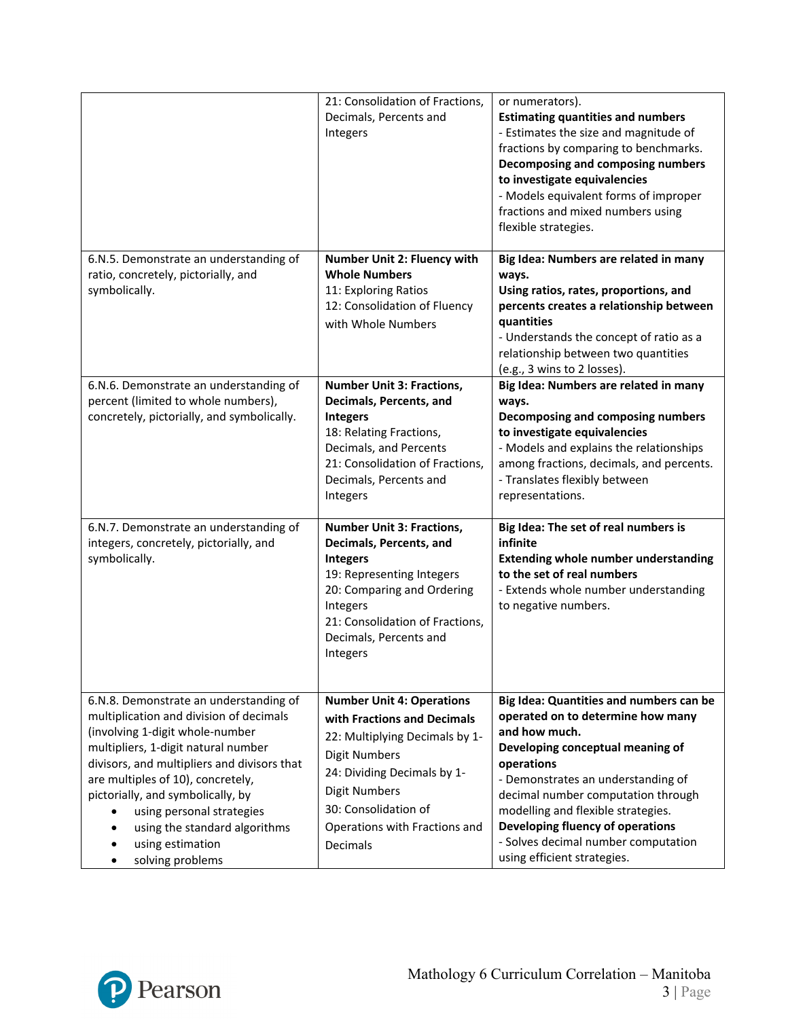|                                                                                                                                                                                                                                                                                                                                                                                            | 21: Consolidation of Fractions,<br>Decimals, Percents and<br>Integers                                                                                                                                                                                 | or numerators).<br><b>Estimating quantities and numbers</b><br>- Estimates the size and magnitude of<br>fractions by comparing to benchmarks.<br>Decomposing and composing numbers<br>to investigate equivalencies<br>- Models equivalent forms of improper<br>fractions and mixed numbers using<br>flexible strategies.                                                    |
|--------------------------------------------------------------------------------------------------------------------------------------------------------------------------------------------------------------------------------------------------------------------------------------------------------------------------------------------------------------------------------------------|-------------------------------------------------------------------------------------------------------------------------------------------------------------------------------------------------------------------------------------------------------|-----------------------------------------------------------------------------------------------------------------------------------------------------------------------------------------------------------------------------------------------------------------------------------------------------------------------------------------------------------------------------|
| 6.N.5. Demonstrate an understanding of<br>ratio, concretely, pictorially, and<br>symbolically.                                                                                                                                                                                                                                                                                             | Number Unit 2: Fluency with<br><b>Whole Numbers</b><br>11: Exploring Ratios<br>12: Consolidation of Fluency<br>with Whole Numbers                                                                                                                     | Big Idea: Numbers are related in many<br>ways.<br>Using ratios, rates, proportions, and<br>percents creates a relationship between<br>quantities<br>- Understands the concept of ratio as a<br>relationship between two quantities<br>(e.g., 3 wins to 2 losses).                                                                                                           |
| 6.N.6. Demonstrate an understanding of<br>percent (limited to whole numbers),<br>concretely, pictorially, and symbolically.                                                                                                                                                                                                                                                                | <b>Number Unit 3: Fractions,</b><br>Decimals, Percents, and<br><b>Integers</b><br>18: Relating Fractions,<br>Decimals, and Percents<br>21: Consolidation of Fractions,<br>Decimals, Percents and<br>Integers                                          | Big Idea: Numbers are related in many<br>ways.<br>Decomposing and composing numbers<br>to investigate equivalencies<br>- Models and explains the relationships<br>among fractions, decimals, and percents.<br>- Translates flexibly between<br>representations.                                                                                                             |
| 6.N.7. Demonstrate an understanding of<br>integers, concretely, pictorially, and<br>symbolically.                                                                                                                                                                                                                                                                                          | <b>Number Unit 3: Fractions,</b><br>Decimals, Percents, and<br><b>Integers</b><br>19: Representing Integers<br>20: Comparing and Ordering<br>Integers<br>21: Consolidation of Fractions,<br>Decimals, Percents and<br>Integers                        | Big Idea: The set of real numbers is<br>infinite<br><b>Extending whole number understanding</b><br>to the set of real numbers<br>- Extends whole number understanding<br>to negative numbers.                                                                                                                                                                               |
| 6.N.8. Demonstrate an understanding of<br>multiplication and division of decimals<br>(involving 1-digit whole-number<br>multipliers, 1-digit natural number<br>divisors, and multipliers and divisors that<br>are multiples of 10), concretely,<br>pictorially, and symbolically, by<br>using personal strategies<br>using the standard algorithms<br>using estimation<br>solving problems | <b>Number Unit 4: Operations</b><br>with Fractions and Decimals<br>22: Multiplying Decimals by 1-<br><b>Digit Numbers</b><br>24: Dividing Decimals by 1-<br><b>Digit Numbers</b><br>30: Consolidation of<br>Operations with Fractions and<br>Decimals | Big Idea: Quantities and numbers can be<br>operated on to determine how many<br>and how much.<br>Developing conceptual meaning of<br>operations<br>- Demonstrates an understanding of<br>decimal number computation through<br>modelling and flexible strategies.<br>Developing fluency of operations<br>- Solves decimal number computation<br>using efficient strategies. |

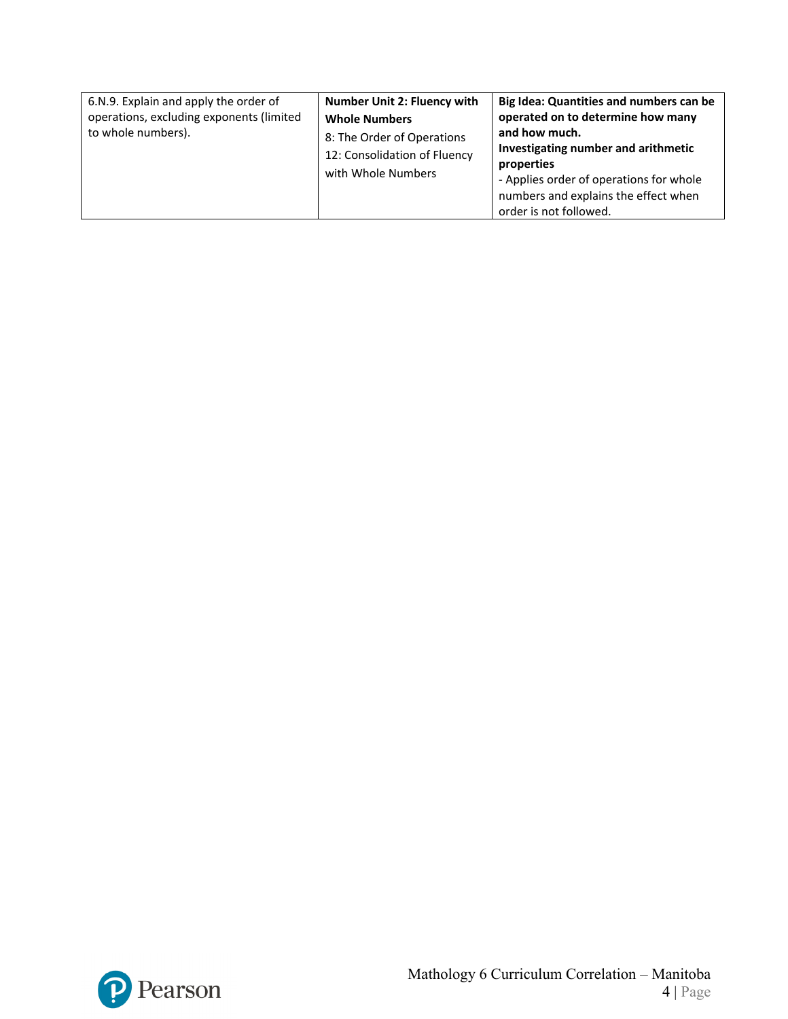| 6.N.9. Explain and apply the order of<br>operations, excluding exponents (limited<br>to whole numbers). | <b>Number Unit 2: Fluency with</b><br><b>Whole Numbers</b><br>8: The Order of Operations<br>12: Consolidation of Fluency<br>with Whole Numbers | Big Idea: Quantities and numbers can be<br>operated on to determine how many<br>and how much.<br>Investigating number and arithmetic<br>properties<br>- Applies order of operations for whole<br>numbers and explains the effect when<br>order is not followed. |
|---------------------------------------------------------------------------------------------------------|------------------------------------------------------------------------------------------------------------------------------------------------|-----------------------------------------------------------------------------------------------------------------------------------------------------------------------------------------------------------------------------------------------------------------|
|---------------------------------------------------------------------------------------------------------|------------------------------------------------------------------------------------------------------------------------------------------------|-----------------------------------------------------------------------------------------------------------------------------------------------------------------------------------------------------------------------------------------------------------------|

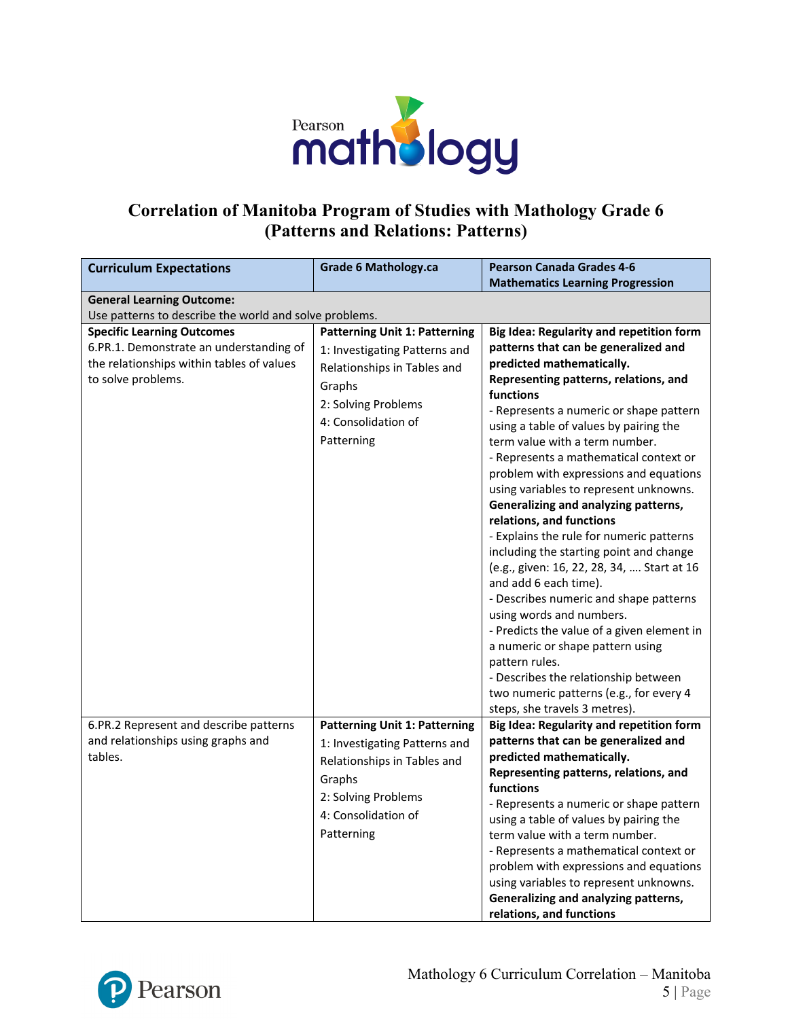

#### **Correlation of Manitoba Program of Studies with Mathology Grade 6 (Patterns and Relations: Patterns)**

| <b>Curriculum Expectations</b>                         | <b>Grade 6 Mathology.ca</b>          | <b>Pearson Canada Grades 4-6</b>                                                    |
|--------------------------------------------------------|--------------------------------------|-------------------------------------------------------------------------------------|
|                                                        |                                      | <b>Mathematics Learning Progression</b>                                             |
| <b>General Learning Outcome:</b>                       |                                      |                                                                                     |
| Use patterns to describe the world and solve problems. |                                      |                                                                                     |
| <b>Specific Learning Outcomes</b>                      | <b>Patterning Unit 1: Patterning</b> | Big Idea: Regularity and repetition form                                            |
| 6.PR.1. Demonstrate an understanding of                | 1: Investigating Patterns and        | patterns that can be generalized and                                                |
| the relationships within tables of values              | Relationships in Tables and          | predicted mathematically.                                                           |
| to solve problems.                                     | Graphs                               | Representing patterns, relations, and                                               |
|                                                        | 2: Solving Problems                  | functions                                                                           |
|                                                        |                                      | - Represents a numeric or shape pattern                                             |
|                                                        | 4: Consolidation of                  | using a table of values by pairing the                                              |
|                                                        | Patterning                           | term value with a term number.                                                      |
|                                                        |                                      | - Represents a mathematical context or                                              |
|                                                        |                                      | problem with expressions and equations                                              |
|                                                        |                                      | using variables to represent unknowns.                                              |
|                                                        |                                      | Generalizing and analyzing patterns,                                                |
|                                                        |                                      | relations, and functions                                                            |
|                                                        |                                      | - Explains the rule for numeric patterns<br>including the starting point and change |
|                                                        |                                      | (e.g., given: 16, 22, 28, 34,  Start at 16                                          |
|                                                        |                                      | and add 6 each time).                                                               |
|                                                        |                                      | - Describes numeric and shape patterns                                              |
|                                                        |                                      | using words and numbers.                                                            |
|                                                        |                                      | - Predicts the value of a given element in                                          |
|                                                        |                                      | a numeric or shape pattern using                                                    |
|                                                        |                                      | pattern rules.                                                                      |
|                                                        |                                      | - Describes the relationship between                                                |
|                                                        |                                      | two numeric patterns (e.g., for every 4                                             |
|                                                        |                                      | steps, she travels 3 metres).                                                       |
| 6.PR.2 Represent and describe patterns                 | <b>Patterning Unit 1: Patterning</b> | Big Idea: Regularity and repetition form                                            |
| and relationships using graphs and                     | 1: Investigating Patterns and        | patterns that can be generalized and                                                |
| tables.                                                | Relationships in Tables and          | predicted mathematically.                                                           |
|                                                        | Graphs                               | Representing patterns, relations, and                                               |
|                                                        | 2: Solving Problems                  | functions                                                                           |
|                                                        |                                      | - Represents a numeric or shape pattern                                             |
|                                                        | 4: Consolidation of                  | using a table of values by pairing the                                              |
|                                                        | Patterning                           | term value with a term number.                                                      |
|                                                        |                                      | - Represents a mathematical context or                                              |
|                                                        |                                      | problem with expressions and equations                                              |
|                                                        |                                      | using variables to represent unknowns.                                              |
|                                                        |                                      | Generalizing and analyzing patterns,                                                |
|                                                        |                                      | relations, and functions                                                            |

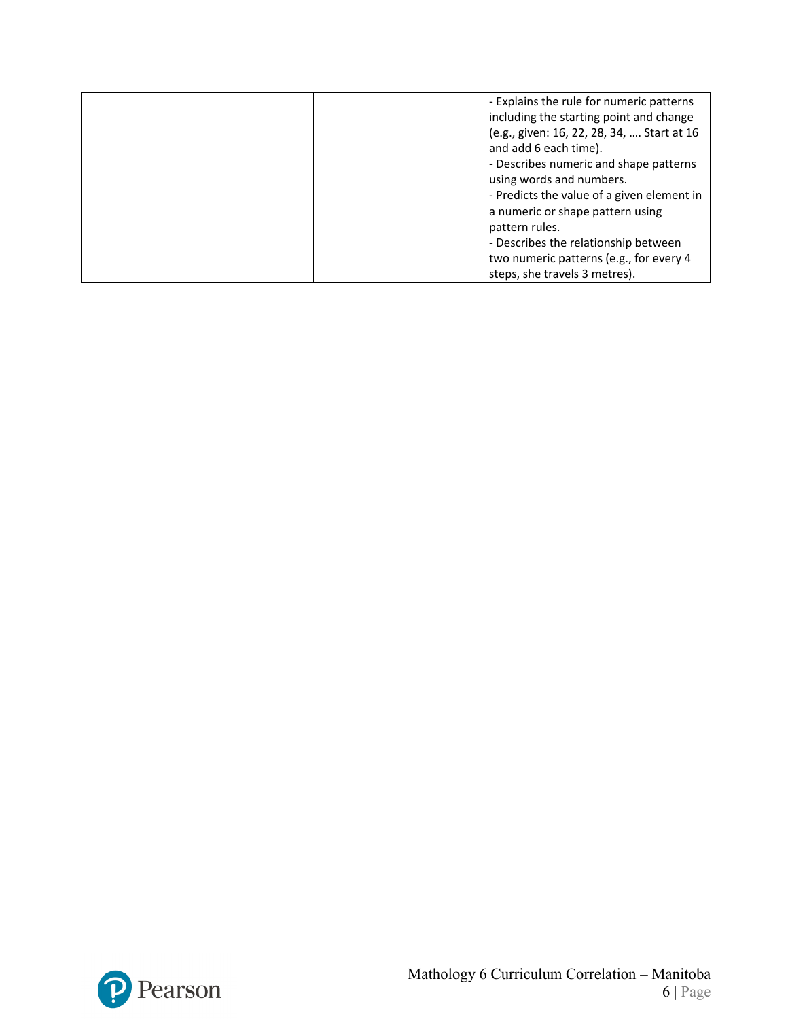| - Explains the rule for numeric patterns   |
|--------------------------------------------|
|                                            |
| including the starting point and change    |
| (e.g., given: 16, 22, 28, 34,  Start at 16 |
| and add 6 each time).                      |
| - Describes numeric and shape patterns     |
| using words and numbers.                   |
| - Predicts the value of a given element in |
| a numeric or shape pattern using           |
| pattern rules.                             |
| - Describes the relationship between       |
| two numeric patterns (e.g., for every 4    |
| steps, she travels 3 metres).              |

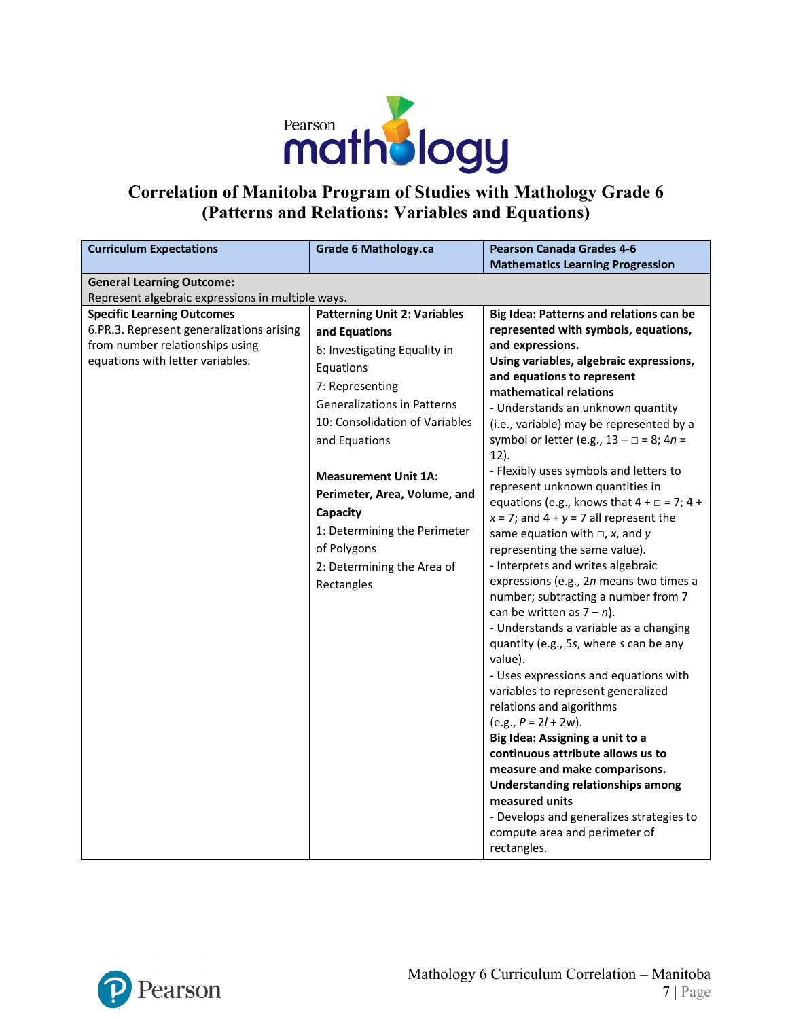

### **Correlation of Manitoba Program of Studies with Mathology Grade 6 (Patterns and Relations: Variables and Equations)**

| <b>Curriculum Expectations</b>                                                                                                                                                                                                                 | <b>Grade 6 Mathology.ca</b>                                                                                                                                                                                                                                                                                                                                                         | <b>Pearson Canada Grades 4-6</b>                                                                                                                                                                                                                                                                                                                                                                                                                                                                                                                                                                                                                                                                                                                                                                                                                                                                                                                                                                                                 |
|------------------------------------------------------------------------------------------------------------------------------------------------------------------------------------------------------------------------------------------------|-------------------------------------------------------------------------------------------------------------------------------------------------------------------------------------------------------------------------------------------------------------------------------------------------------------------------------------------------------------------------------------|----------------------------------------------------------------------------------------------------------------------------------------------------------------------------------------------------------------------------------------------------------------------------------------------------------------------------------------------------------------------------------------------------------------------------------------------------------------------------------------------------------------------------------------------------------------------------------------------------------------------------------------------------------------------------------------------------------------------------------------------------------------------------------------------------------------------------------------------------------------------------------------------------------------------------------------------------------------------------------------------------------------------------------|
|                                                                                                                                                                                                                                                |                                                                                                                                                                                                                                                                                                                                                                                     |                                                                                                                                                                                                                                                                                                                                                                                                                                                                                                                                                                                                                                                                                                                                                                                                                                                                                                                                                                                                                                  |
|                                                                                                                                                                                                                                                |                                                                                                                                                                                                                                                                                                                                                                                     |                                                                                                                                                                                                                                                                                                                                                                                                                                                                                                                                                                                                                                                                                                                                                                                                                                                                                                                                                                                                                                  |
| <b>General Learning Outcome:</b><br>Represent algebraic expressions in multiple ways.<br><b>Specific Learning Outcomes</b><br>6.PR.3. Represent generalizations arising<br>from number relationships using<br>equations with letter variables. | <b>Patterning Unit 2: Variables</b><br>and Equations<br>6: Investigating Equality in<br>Equations<br>7: Representing<br><b>Generalizations in Patterns</b><br>10: Consolidation of Variables<br>and Equations<br><b>Measurement Unit 1A:</b><br>Perimeter, Area, Volume, and<br>Capacity<br>1: Determining the Perimeter<br>of Polygons<br>2: Determining the Area of<br>Rectangles | <b>Mathematics Learning Progression</b><br>Big Idea: Patterns and relations can be<br>represented with symbols, equations,<br>and expressions.<br>Using variables, algebraic expressions,<br>and equations to represent<br>mathematical relations<br>- Understands an unknown quantity<br>(i.e., variable) may be represented by a<br>symbol or letter (e.g., $13 - \square = 8$ ; $4n =$<br>12).<br>- Flexibly uses symbols and letters to<br>represent unknown quantities in<br>equations (e.g., knows that $4 + \square = 7$ ; $4 +$<br>$x = 7$ ; and $4 + y = 7$ all represent the<br>same equation with $\Box$ , x, and y<br>representing the same value).<br>- Interprets and writes algebraic<br>expressions (e.g., 2n means two times a<br>number; subtracting a number from 7<br>can be written as $7 - n$ ).<br>- Understands a variable as a changing<br>quantity (e.g., 5s, where s can be any<br>value).<br>- Uses expressions and equations with<br>variables to represent generalized<br>relations and algorithms |
|                                                                                                                                                                                                                                                |                                                                                                                                                                                                                                                                                                                                                                                     | $(e.g., P = 2l + 2w).$<br>Big Idea: Assigning a unit to a                                                                                                                                                                                                                                                                                                                                                                                                                                                                                                                                                                                                                                                                                                                                                                                                                                                                                                                                                                        |
|                                                                                                                                                                                                                                                |                                                                                                                                                                                                                                                                                                                                                                                     | continuous attribute allows us to<br>measure and make comparisons.<br>Understanding relationships among                                                                                                                                                                                                                                                                                                                                                                                                                                                                                                                                                                                                                                                                                                                                                                                                                                                                                                                          |
|                                                                                                                                                                                                                                                |                                                                                                                                                                                                                                                                                                                                                                                     | measured units<br>- Develops and generalizes strategies to<br>compute area and perimeter of<br>rectangles.                                                                                                                                                                                                                                                                                                                                                                                                                                                                                                                                                                                                                                                                                                                                                                                                                                                                                                                       |

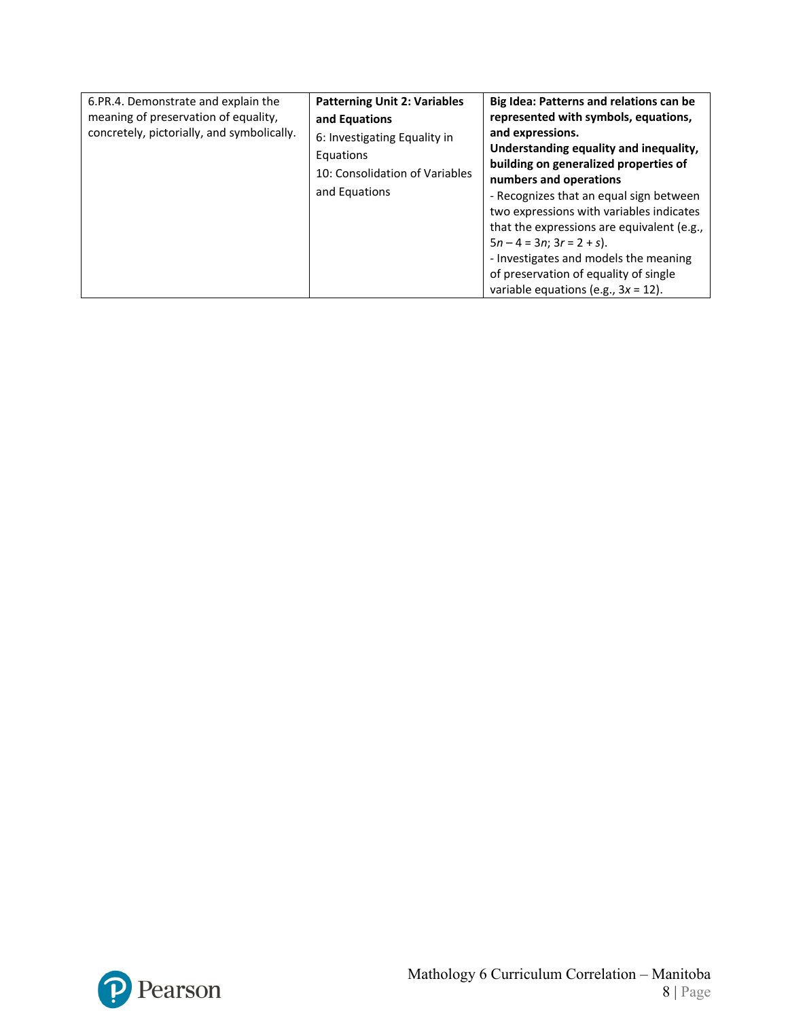| 6.PR.4. Demonstrate and explain the<br>meaning of preservation of equality,<br>concretely, pictorially, and symbolically. | <b>Patterning Unit 2: Variables</b><br>and Equations<br>6: Investigating Equality in<br>Equations<br>10: Consolidation of Variables<br>and Equations | Big Idea: Patterns and relations can be<br>represented with symbols, equations,<br>and expressions.<br>Understanding equality and inequality,<br>building on generalized properties of<br>numbers and operations<br>- Recognizes that an equal sign between<br>two expressions with variables indicates<br>that the expressions are equivalent (e.g.,<br>$5n - 4 = 3n$ ; $3r = 2 + s$ ).<br>- Investigates and models the meaning<br>of preservation of equality of single<br>variable equations (e.g., $3x = 12$ ). |
|---------------------------------------------------------------------------------------------------------------------------|------------------------------------------------------------------------------------------------------------------------------------------------------|----------------------------------------------------------------------------------------------------------------------------------------------------------------------------------------------------------------------------------------------------------------------------------------------------------------------------------------------------------------------------------------------------------------------------------------------------------------------------------------------------------------------|
|---------------------------------------------------------------------------------------------------------------------------|------------------------------------------------------------------------------------------------------------------------------------------------------|----------------------------------------------------------------------------------------------------------------------------------------------------------------------------------------------------------------------------------------------------------------------------------------------------------------------------------------------------------------------------------------------------------------------------------------------------------------------------------------------------------------------|

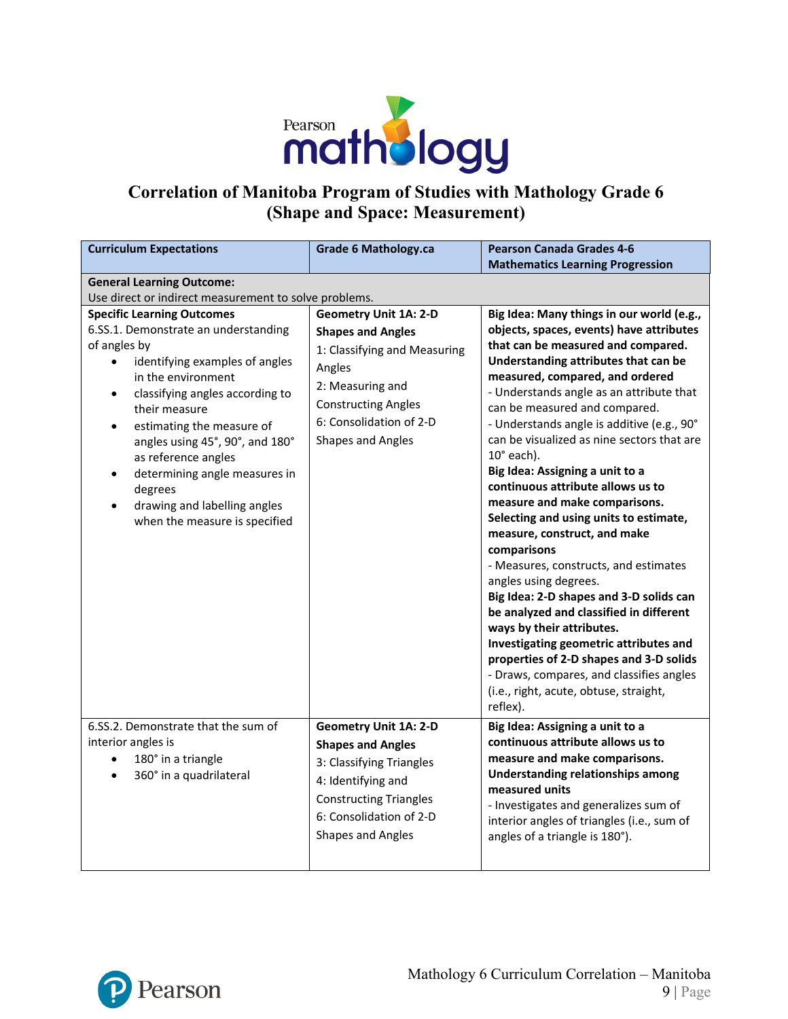

# **Correlation of Manitoba Program of Studies with Mathology Grade 6 (Shape and Space: Measurement)**

| <b>Curriculum Expectations</b>                                                                                                                                                                                                                                                                                                                                                                                                                   | <b>Grade 6 Mathology.ca</b>                                                                                                                                                                                 | <b>Pearson Canada Grades 4-6</b><br><b>Mathematics Learning Progression</b>                                                                                                                                                                                                                                                                                                                                                                                                                                                                                                                                                                                                                                                                                                                                                                                                                                                                                                        |  |
|--------------------------------------------------------------------------------------------------------------------------------------------------------------------------------------------------------------------------------------------------------------------------------------------------------------------------------------------------------------------------------------------------------------------------------------------------|-------------------------------------------------------------------------------------------------------------------------------------------------------------------------------------------------------------|------------------------------------------------------------------------------------------------------------------------------------------------------------------------------------------------------------------------------------------------------------------------------------------------------------------------------------------------------------------------------------------------------------------------------------------------------------------------------------------------------------------------------------------------------------------------------------------------------------------------------------------------------------------------------------------------------------------------------------------------------------------------------------------------------------------------------------------------------------------------------------------------------------------------------------------------------------------------------------|--|
| <b>General Learning Outcome:</b><br>Use direct or indirect measurement to solve problems.                                                                                                                                                                                                                                                                                                                                                        |                                                                                                                                                                                                             |                                                                                                                                                                                                                                                                                                                                                                                                                                                                                                                                                                                                                                                                                                                                                                                                                                                                                                                                                                                    |  |
| <b>Specific Learning Outcomes</b><br>6.SS.1. Demonstrate an understanding<br>of angles by<br>identifying examples of angles<br>in the environment<br>classifying angles according to<br>$\bullet$<br>their measure<br>estimating the measure of<br>$\bullet$<br>angles using 45°, 90°, and 180°<br>as reference angles<br>determining angle measures in<br>$\bullet$<br>degrees<br>drawing and labelling angles<br>when the measure is specified | <b>Geometry Unit 1A: 2-D</b><br><b>Shapes and Angles</b><br>1: Classifying and Measuring<br>Angles<br>2: Measuring and<br><b>Constructing Angles</b><br>6: Consolidation of 2-D<br><b>Shapes and Angles</b> | Big Idea: Many things in our world (e.g.,<br>objects, spaces, events) have attributes<br>that can be measured and compared.<br>Understanding attributes that can be<br>measured, compared, and ordered<br>- Understands angle as an attribute that<br>can be measured and compared.<br>- Understands angle is additive (e.g., 90°<br>can be visualized as nine sectors that are<br>$10^\circ$ each).<br>Big Idea: Assigning a unit to a<br>continuous attribute allows us to<br>measure and make comparisons.<br>Selecting and using units to estimate,<br>measure, construct, and make<br>comparisons<br>- Measures, constructs, and estimates<br>angles using degrees.<br>Big Idea: 2-D shapes and 3-D solids can<br>be analyzed and classified in different<br>ways by their attributes.<br>Investigating geometric attributes and<br>properties of 2-D shapes and 3-D solids<br>- Draws, compares, and classifies angles<br>(i.e., right, acute, obtuse, straight,<br>reflex). |  |
| 6.SS.2. Demonstrate that the sum of<br>interior angles is<br>180° in a triangle<br>$\bullet$<br>360° in a quadrilateral<br>$\bullet$                                                                                                                                                                                                                                                                                                             | <b>Geometry Unit 1A: 2-D</b><br><b>Shapes and Angles</b><br>3: Classifying Triangles<br>4: Identifying and<br><b>Constructing Triangles</b><br>6: Consolidation of 2-D<br>Shapes and Angles                 | Big Idea: Assigning a unit to a<br>continuous attribute allows us to<br>measure and make comparisons.<br><b>Understanding relationships among</b><br>measured units<br>- Investigates and generalizes sum of<br>interior angles of triangles (i.e., sum of<br>angles of a triangle is 180°).                                                                                                                                                                                                                                                                                                                                                                                                                                                                                                                                                                                                                                                                                       |  |

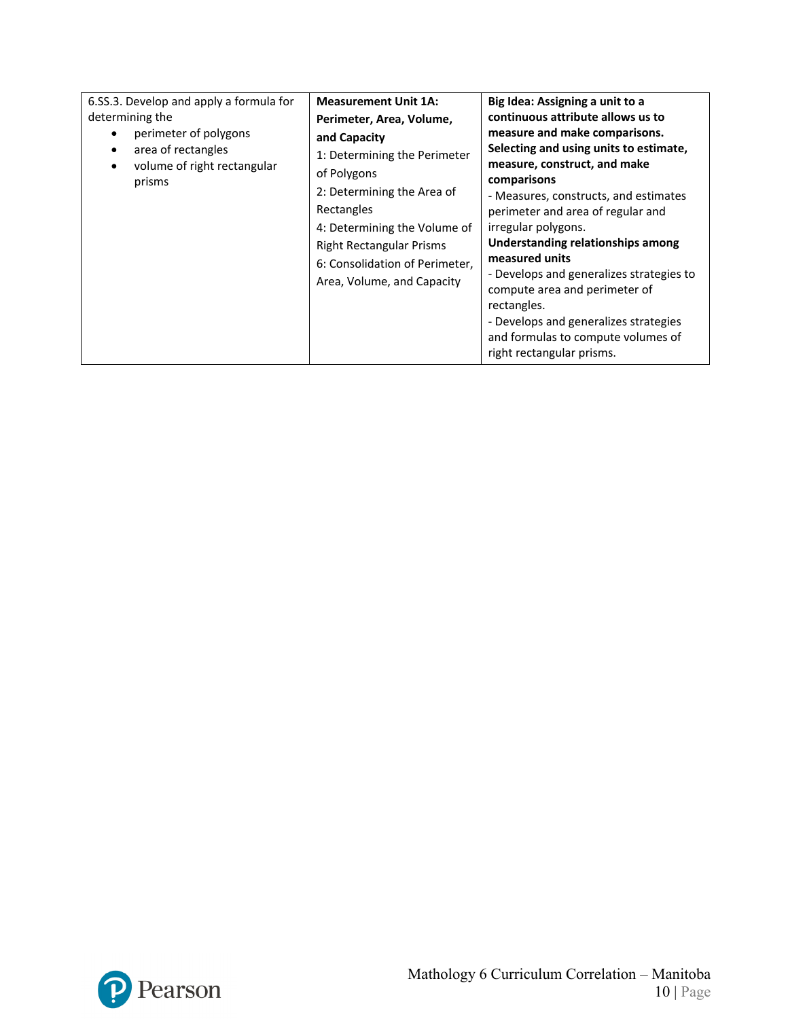| 6.SS.3. Develop and apply a formula for<br>determining the<br>perimeter of polygons<br>area of rectangles<br>volume of right rectangular<br>prisms | <b>Measurement Unit 1A:</b><br>Perimeter, Area, Volume,<br>and Capacity<br>1: Determining the Perimeter<br>of Polygons<br>2: Determining the Area of<br>Rectangles<br>4: Determining the Volume of<br><b>Right Rectangular Prisms</b><br>6: Consolidation of Perimeter,<br>Area, Volume, and Capacity | Big Idea: Assigning a unit to a<br>continuous attribute allows us to<br>measure and make comparisons.<br>Selecting and using units to estimate,<br>measure, construct, and make<br>comparisons<br>- Measures, constructs, and estimates<br>perimeter and area of regular and<br>irregular polygons.<br>Understanding relationships among<br>measured units<br>- Develops and generalizes strategies to<br>compute area and perimeter of<br>rectangles.<br>- Develops and generalizes strategies<br>and formulas to compute volumes of |
|----------------------------------------------------------------------------------------------------------------------------------------------------|-------------------------------------------------------------------------------------------------------------------------------------------------------------------------------------------------------------------------------------------------------------------------------------------------------|---------------------------------------------------------------------------------------------------------------------------------------------------------------------------------------------------------------------------------------------------------------------------------------------------------------------------------------------------------------------------------------------------------------------------------------------------------------------------------------------------------------------------------------|
|                                                                                                                                                    |                                                                                                                                                                                                                                                                                                       | right rectangular prisms.                                                                                                                                                                                                                                                                                                                                                                                                                                                                                                             |

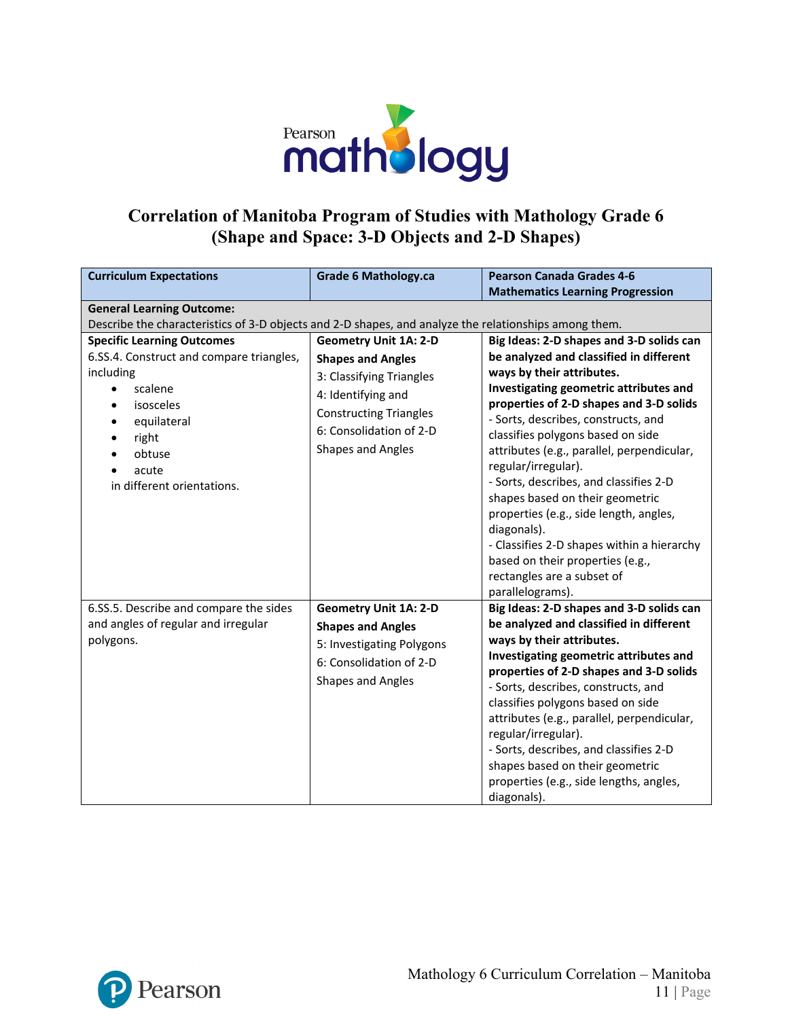

### **Correlation of Manitoba Program of Studies with Mathology Grade 6 (Shape and Space: 3-D Objects and 2-D Shapes)**

| <b>Curriculum Expectations</b>                                                                        | <b>Grade 6 Mathology.ca</b>   | <b>Pearson Canada Grades 4-6</b>                                                    |  |
|-------------------------------------------------------------------------------------------------------|-------------------------------|-------------------------------------------------------------------------------------|--|
|                                                                                                       |                               | <b>Mathematics Learning Progression</b>                                             |  |
| <b>General Learning Outcome:</b>                                                                      |                               |                                                                                     |  |
| Describe the characteristics of 3-D objects and 2-D shapes, and analyze the relationships among them. |                               |                                                                                     |  |
| <b>Specific Learning Outcomes</b>                                                                     | <b>Geometry Unit 1A: 2-D</b>  | Big Ideas: 2-D shapes and 3-D solids can                                            |  |
| 6.SS.4. Construct and compare triangles,                                                              | <b>Shapes and Angles</b>      | be analyzed and classified in different                                             |  |
| including                                                                                             | 3: Classifying Triangles      | ways by their attributes.                                                           |  |
| scalene                                                                                               | 4: Identifying and            | Investigating geometric attributes and<br>properties of 2-D shapes and 3-D solids   |  |
| isosceles<br>$\bullet$                                                                                | <b>Constructing Triangles</b> | - Sorts, describes, constructs, and                                                 |  |
| equilateral<br>right                                                                                  | 6: Consolidation of 2-D       | classifies polygons based on side                                                   |  |
| obtuse                                                                                                | Shapes and Angles             | attributes (e.g., parallel, perpendicular,                                          |  |
| acute<br>$\bullet$                                                                                    |                               | regular/irregular).                                                                 |  |
| in different orientations.                                                                            |                               | - Sorts, describes, and classifies 2-D                                              |  |
|                                                                                                       |                               | shapes based on their geometric                                                     |  |
|                                                                                                       |                               | properties (e.g., side length, angles,                                              |  |
|                                                                                                       |                               | diagonals).                                                                         |  |
|                                                                                                       |                               | - Classifies 2-D shapes within a hierarchy                                          |  |
|                                                                                                       |                               | based on their properties (e.g.,                                                    |  |
|                                                                                                       |                               | rectangles are a subset of                                                          |  |
|                                                                                                       |                               | parallelograms).                                                                    |  |
| 6.SS.5. Describe and compare the sides<br>and angles of regular and irregular                         | <b>Geometry Unit 1A: 2-D</b>  | Big Ideas: 2-D shapes and 3-D solids can<br>be analyzed and classified in different |  |
| polygons.                                                                                             | <b>Shapes and Angles</b>      | ways by their attributes.                                                           |  |
|                                                                                                       | 5: Investigating Polygons     | Investigating geometric attributes and                                              |  |
|                                                                                                       | 6: Consolidation of 2-D       | properties of 2-D shapes and 3-D solids                                             |  |
|                                                                                                       | Shapes and Angles             | - Sorts, describes, constructs, and                                                 |  |
|                                                                                                       |                               | classifies polygons based on side                                                   |  |
|                                                                                                       |                               | attributes (e.g., parallel, perpendicular,                                          |  |
|                                                                                                       |                               | regular/irregular).                                                                 |  |
|                                                                                                       |                               | - Sorts, describes, and classifies 2-D                                              |  |
|                                                                                                       |                               | shapes based on their geometric                                                     |  |
|                                                                                                       |                               | properties (e.g., side lengths, angles,                                             |  |
|                                                                                                       |                               | diagonals).                                                                         |  |

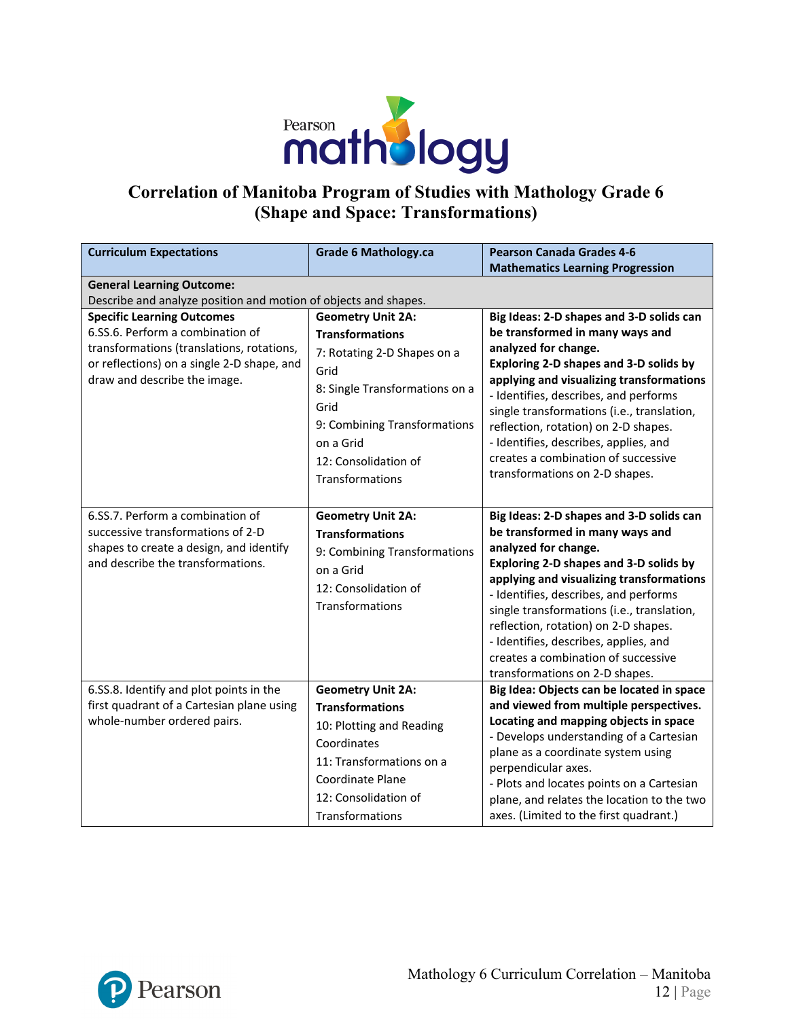

### **Correlation of Manitoba Program of Studies with Mathology Grade 6 (Shape and Space: Transformations)**

| <b>Curriculum Expectations</b>                                                                                                                                                                   | <b>Grade 6 Mathology.ca</b>                                                                                                                                                                                                 | <b>Pearson Canada Grades 4-6</b><br><b>Mathematics Learning Progression</b>                                                                                                                                                                                                                                                                                                                                                                |
|--------------------------------------------------------------------------------------------------------------------------------------------------------------------------------------------------|-----------------------------------------------------------------------------------------------------------------------------------------------------------------------------------------------------------------------------|--------------------------------------------------------------------------------------------------------------------------------------------------------------------------------------------------------------------------------------------------------------------------------------------------------------------------------------------------------------------------------------------------------------------------------------------|
| <b>General Learning Outcome:</b>                                                                                                                                                                 |                                                                                                                                                                                                                             |                                                                                                                                                                                                                                                                                                                                                                                                                                            |
| Describe and analyze position and motion of objects and shapes.                                                                                                                                  |                                                                                                                                                                                                                             |                                                                                                                                                                                                                                                                                                                                                                                                                                            |
| <b>Specific Learning Outcomes</b><br>6.SS.6. Perform a combination of<br>transformations (translations, rotations,<br>or reflections) on a single 2-D shape, and<br>draw and describe the image. | <b>Geometry Unit 2A:</b><br><b>Transformations</b><br>7: Rotating 2-D Shapes on a<br>Grid<br>8: Single Transformations on a<br>Grid<br>9: Combining Transformations<br>on a Grid<br>12: Consolidation of<br>Transformations | Big Ideas: 2-D shapes and 3-D solids can<br>be transformed in many ways and<br>analyzed for change.<br>Exploring 2-D shapes and 3-D solids by<br>applying and visualizing transformations<br>- Identifies, describes, and performs<br>single transformations (i.e., translation,<br>reflection, rotation) on 2-D shapes.<br>- Identifies, describes, applies, and<br>creates a combination of successive<br>transformations on 2-D shapes. |
| 6.SS.7. Perform a combination of<br>successive transformations of 2-D<br>shapes to create a design, and identify<br>and describe the transformations.                                            | <b>Geometry Unit 2A:</b><br><b>Transformations</b><br>9: Combining Transformations<br>on a Grid<br>12: Consolidation of<br>Transformations                                                                                  | Big Ideas: 2-D shapes and 3-D solids can<br>be transformed in many ways and<br>analyzed for change.<br>Exploring 2-D shapes and 3-D solids by<br>applying and visualizing transformations<br>- Identifies, describes, and performs<br>single transformations (i.e., translation,<br>reflection, rotation) on 2-D shapes.<br>- Identifies, describes, applies, and<br>creates a combination of successive<br>transformations on 2-D shapes. |
| 6.SS.8. Identify and plot points in the<br>first quadrant of a Cartesian plane using<br>whole-number ordered pairs.                                                                              | <b>Geometry Unit 2A:</b><br><b>Transformations</b><br>10: Plotting and Reading<br>Coordinates<br>11: Transformations on a<br>Coordinate Plane<br>12: Consolidation of<br>Transformations                                    | Big Idea: Objects can be located in space<br>and viewed from multiple perspectives.<br>Locating and mapping objects in space<br>- Develops understanding of a Cartesian<br>plane as a coordinate system using<br>perpendicular axes.<br>- Plots and locates points on a Cartesian<br>plane, and relates the location to the two<br>axes. (Limited to the first quadrant.)                                                                  |

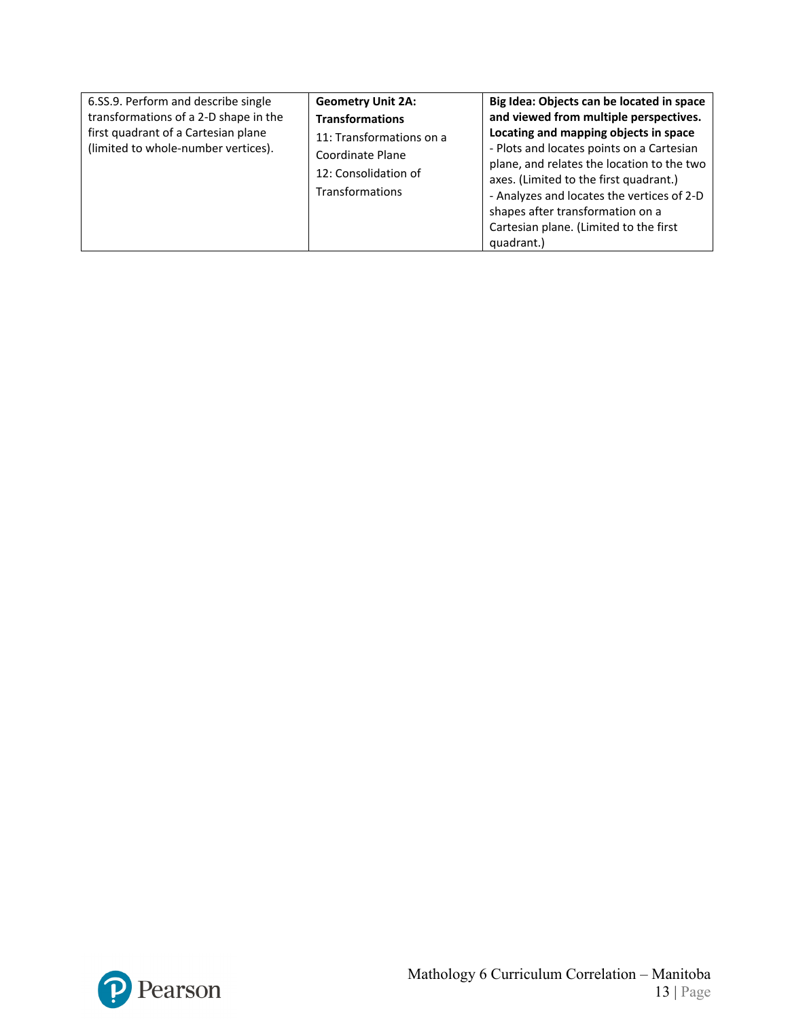| 6.SS.9. Perform and describe single<br>transformations of a 2-D shape in the<br>first quadrant of a Cartesian plane<br>(limited to whole-number vertices). | <b>Geometry Unit 2A:</b><br><b>Transformations</b><br>11: Transformations on a<br>Coordinate Plane<br>12: Consolidation of<br><b>Transformations</b> | Big Idea: Objects can be located in space<br>and viewed from multiple perspectives.<br>Locating and mapping objects in space<br>- Plots and locates points on a Cartesian<br>plane, and relates the location to the two<br>axes. (Limited to the first quadrant.)<br>- Analyzes and locates the vertices of 2-D<br>shapes after transformation on a<br>Cartesian plane. (Limited to the first<br>quadrant.) |
|------------------------------------------------------------------------------------------------------------------------------------------------------------|------------------------------------------------------------------------------------------------------------------------------------------------------|-------------------------------------------------------------------------------------------------------------------------------------------------------------------------------------------------------------------------------------------------------------------------------------------------------------------------------------------------------------------------------------------------------------|
|------------------------------------------------------------------------------------------------------------------------------------------------------------|------------------------------------------------------------------------------------------------------------------------------------------------------|-------------------------------------------------------------------------------------------------------------------------------------------------------------------------------------------------------------------------------------------------------------------------------------------------------------------------------------------------------------------------------------------------------------|

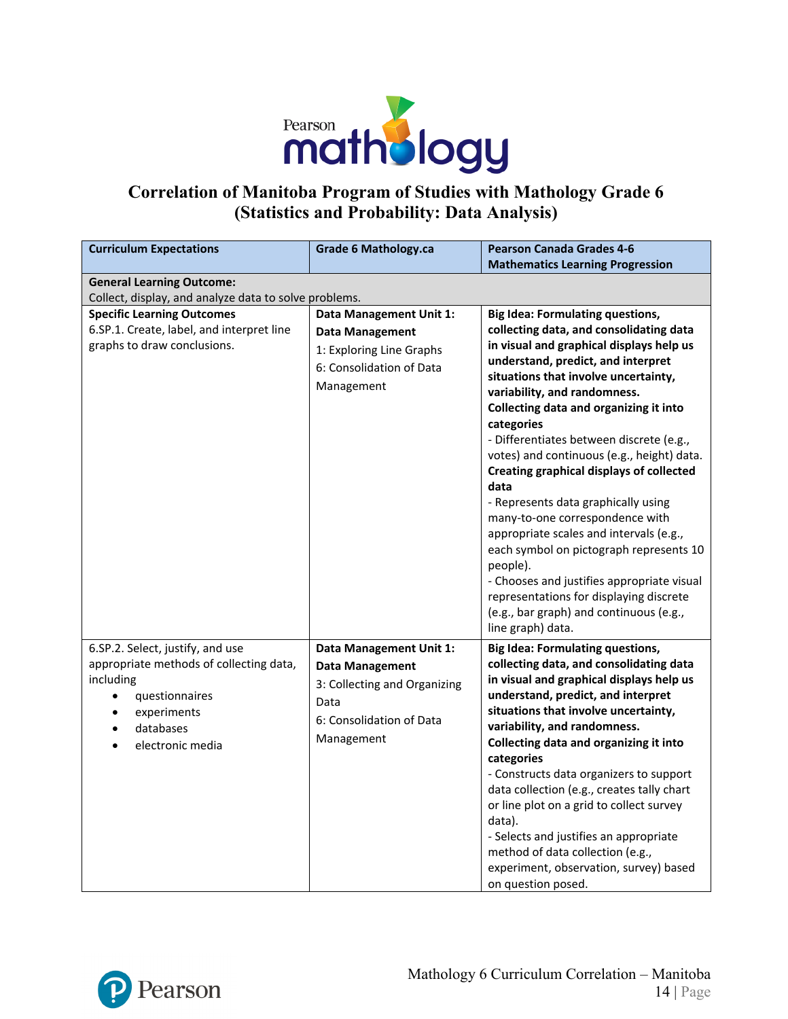

### **Correlation of Manitoba Program of Studies with Mathology Grade 6 (Statistics and Probability: Data Analysis)**

| <b>Curriculum Expectations</b>                        | <b>Grade 6 Mathology.ca</b>  | <b>Pearson Canada Grades 4-6</b>                                           |
|-------------------------------------------------------|------------------------------|----------------------------------------------------------------------------|
|                                                       |                              | <b>Mathematics Learning Progression</b>                                    |
| <b>General Learning Outcome:</b>                      |                              |                                                                            |
| Collect, display, and analyze data to solve problems. |                              |                                                                            |
| <b>Specific Learning Outcomes</b>                     | Data Management Unit 1:      | <b>Big Idea: Formulating questions,</b>                                    |
| 6.SP.1. Create, label, and interpret line             | <b>Data Management</b>       | collecting data, and consolidating data                                    |
| graphs to draw conclusions.                           | 1: Exploring Line Graphs     | in visual and graphical displays help us                                   |
|                                                       | 6: Consolidation of Data     | understand, predict, and interpret                                         |
|                                                       | Management                   | situations that involve uncertainty,                                       |
|                                                       |                              | variability, and randomness.                                               |
|                                                       |                              | Collecting data and organizing it into<br>categories                       |
|                                                       |                              | - Differentiates between discrete (e.g.,                                   |
|                                                       |                              | votes) and continuous (e.g., height) data.                                 |
|                                                       |                              | <b>Creating graphical displays of collected</b>                            |
|                                                       |                              | data                                                                       |
|                                                       |                              | - Represents data graphically using                                        |
|                                                       |                              | many-to-one correspondence with                                            |
|                                                       |                              | appropriate scales and intervals (e.g.,                                    |
|                                                       |                              | each symbol on pictograph represents 10                                    |
|                                                       |                              | people).                                                                   |
|                                                       |                              | - Chooses and justifies appropriate visual                                 |
|                                                       |                              | representations for displaying discrete                                    |
|                                                       |                              | (e.g., bar graph) and continuous (e.g.,                                    |
|                                                       |                              | line graph) data.                                                          |
| 6.SP.2. Select, justify, and use                      | Data Management Unit 1:      | <b>Big Idea: Formulating questions,</b>                                    |
| appropriate methods of collecting data,               | <b>Data Management</b>       | collecting data, and consolidating data                                    |
| including                                             | 3: Collecting and Organizing | in visual and graphical displays help us                                   |
| questionnaires<br>$\bullet$                           | Data                         | understand, predict, and interpret                                         |
| experiments                                           | 6: Consolidation of Data     | situations that involve uncertainty,                                       |
| databases<br>$\bullet$                                |                              | variability, and randomness.                                               |
| electronic media                                      | Management                   | Collecting data and organizing it into                                     |
|                                                       |                              | categories                                                                 |
|                                                       |                              | - Constructs data organizers to support                                    |
|                                                       |                              | data collection (e.g., creates tally chart                                 |
|                                                       |                              | or line plot on a grid to collect survey                                   |
|                                                       |                              | data).                                                                     |
|                                                       |                              | - Selects and justifies an appropriate<br>method of data collection (e.g., |
|                                                       |                              | experiment, observation, survey) based                                     |
|                                                       |                              | on question posed.                                                         |
|                                                       |                              |                                                                            |

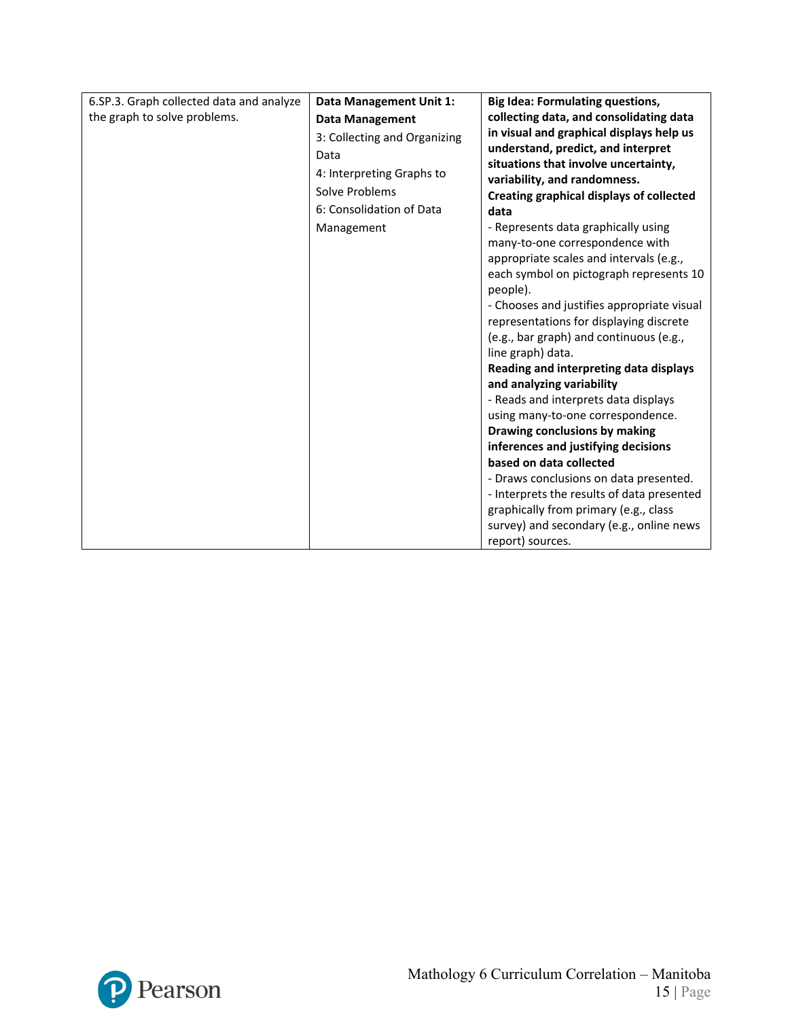| 6.SP.3. Graph collected data and analyze | Data Management Unit 1:      | <b>Big Idea: Formulating questions,</b>                                  |
|------------------------------------------|------------------------------|--------------------------------------------------------------------------|
| the graph to solve problems.             | <b>Data Management</b>       | collecting data, and consolidating data                                  |
|                                          | 3: Collecting and Organizing | in visual and graphical displays help us                                 |
|                                          | Data                         | understand, predict, and interpret                                       |
|                                          | 4: Interpreting Graphs to    | situations that involve uncertainty,                                     |
|                                          | Solve Problems               | variability, and randomness.<br>Creating graphical displays of collected |
|                                          | 6: Consolidation of Data     | data                                                                     |
|                                          | Management                   | - Represents data graphically using                                      |
|                                          |                              | many-to-one correspondence with                                          |
|                                          |                              | appropriate scales and intervals (e.g.,                                  |
|                                          |                              | each symbol on pictograph represents 10                                  |
|                                          |                              | people).                                                                 |
|                                          |                              | - Chooses and justifies appropriate visual                               |
|                                          |                              | representations for displaying discrete                                  |
|                                          |                              | (e.g., bar graph) and continuous (e.g.,                                  |
|                                          |                              | line graph) data.                                                        |
|                                          |                              | Reading and interpreting data displays<br>and analyzing variability      |
|                                          |                              | - Reads and interprets data displays                                     |
|                                          |                              | using many-to-one correspondence.                                        |
|                                          |                              | Drawing conclusions by making                                            |
|                                          |                              | inferences and justifying decisions                                      |
|                                          |                              | based on data collected                                                  |
|                                          |                              | - Draws conclusions on data presented.                                   |
|                                          |                              | - Interprets the results of data presented                               |
|                                          |                              | graphically from primary (e.g., class                                    |
|                                          |                              | survey) and secondary (e.g., online news                                 |
|                                          |                              | report) sources.                                                         |